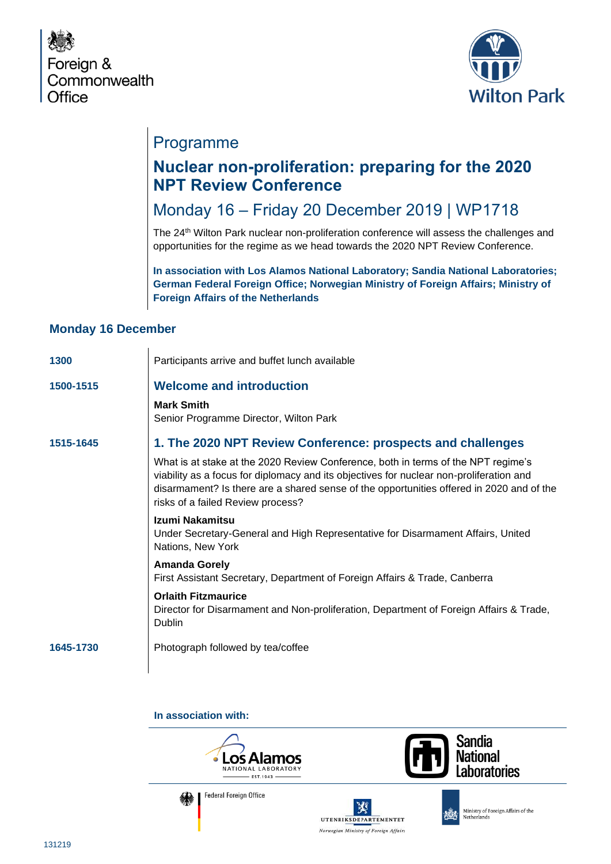



# Programme

## **Nuclear non-proliferation: preparing for the 2020 NPT Review Conference**

# Monday 16 – Friday 20 December 2019 | WP1718

The 24<sup>th</sup> Wilton Park nuclear non-proliferation conference will assess the challenges and opportunities for the regime as we head towards the 2020 NPT Review Conference.

**In association with Los Alamos National Laboratory; Sandia National Laboratories; German Federal Foreign Office; Norwegian Ministry of Foreign Affairs; Ministry of Foreign Affairs of the Netherlands**

#### **Monday 16 December**

| 1300      | Participants arrive and buffet lunch available                                                                                                                                                                                                                                                                |
|-----------|---------------------------------------------------------------------------------------------------------------------------------------------------------------------------------------------------------------------------------------------------------------------------------------------------------------|
| 1500-1515 | <b>Welcome and introduction</b>                                                                                                                                                                                                                                                                               |
|           | <b>Mark Smith</b><br>Senior Programme Director, Wilton Park                                                                                                                                                                                                                                                   |
| 1515-1645 | 1. The 2020 NPT Review Conference: prospects and challenges                                                                                                                                                                                                                                                   |
|           | What is at stake at the 2020 Review Conference, both in terms of the NPT regime's<br>viability as a focus for diplomacy and its objectives for nuclear non-proliferation and<br>disarmament? Is there are a shared sense of the opportunities offered in 2020 and of the<br>risks of a failed Review process? |
|           | Izumi Nakamitsu<br>Under Secretary-General and High Representative for Disarmament Affairs, United<br>Nations, New York                                                                                                                                                                                       |
|           | <b>Amanda Gorely</b><br>First Assistant Secretary, Department of Foreign Affairs & Trade, Canberra                                                                                                                                                                                                            |
|           | <b>Orlaith Fitzmaurice</b><br>Director for Disarmament and Non-proliferation, Department of Foreign Affairs & Trade,<br><b>Dublin</b>                                                                                                                                                                         |
| 1645-1730 | Photograph followed by tea/coffee                                                                                                                                                                                                                                                                             |

**In association with:** 



Norwegian Ministry of Foreign Affairs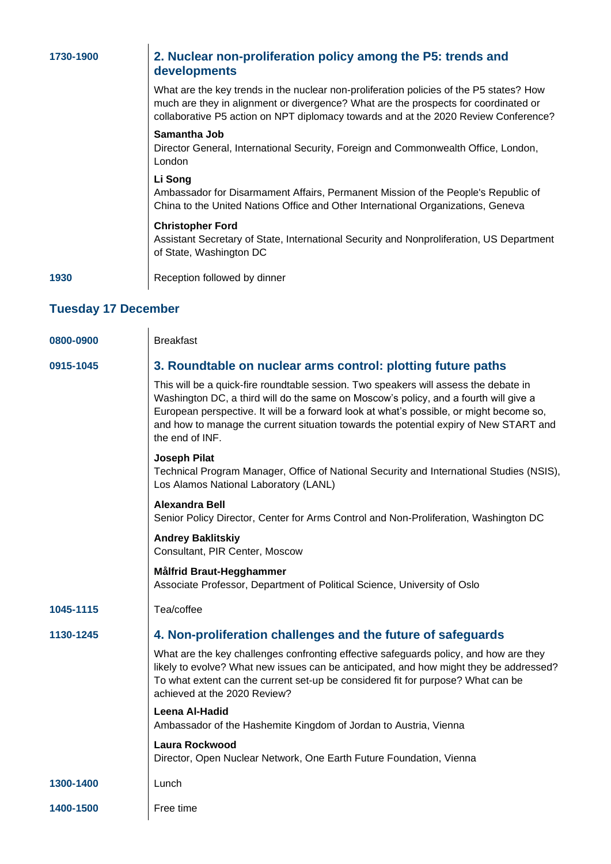| 1730-1900 | 2. Nuclear non-proliferation policy among the P5: trends and<br>developments                                                                                                                                                                                          |
|-----------|-----------------------------------------------------------------------------------------------------------------------------------------------------------------------------------------------------------------------------------------------------------------------|
|           | What are the key trends in the nuclear non-proliferation policies of the P5 states? How<br>much are they in alignment or divergence? What are the prospects for coordinated or<br>collaborative P5 action on NPT diplomacy towards and at the 2020 Review Conference? |
|           | Samantha Job<br>Director General, International Security, Foreign and Commonwealth Office, London,<br>London                                                                                                                                                          |
|           | Li Song<br>Ambassador for Disarmament Affairs, Permanent Mission of the People's Republic of<br>China to the United Nations Office and Other International Organizations, Geneva                                                                                      |
|           | <b>Christopher Ford</b><br>Assistant Secretary of State, International Security and Nonproliferation, US Department<br>of State, Washington DC                                                                                                                        |
| 1930      | Reception followed by dinner                                                                                                                                                                                                                                          |

#### **Tuesday 17 December**

| 0800-0900 | <b>Breakfast</b>                                                                                                                                                                                                                                                                                                                                                                    |
|-----------|-------------------------------------------------------------------------------------------------------------------------------------------------------------------------------------------------------------------------------------------------------------------------------------------------------------------------------------------------------------------------------------|
| 0915-1045 | 3. Roundtable on nuclear arms control: plotting future paths                                                                                                                                                                                                                                                                                                                        |
|           | This will be a quick-fire roundtable session. Two speakers will assess the debate in<br>Washington DC, a third will do the same on Moscow's policy, and a fourth will give a<br>European perspective. It will be a forward look at what's possible, or might become so,<br>and how to manage the current situation towards the potential expiry of New START and<br>the end of INF. |
|           | <b>Joseph Pilat</b><br>Technical Program Manager, Office of National Security and International Studies (NSIS),<br>Los Alamos National Laboratory (LANL)                                                                                                                                                                                                                            |
|           | <b>Alexandra Bell</b><br>Senior Policy Director, Center for Arms Control and Non-Proliferation, Washington DC                                                                                                                                                                                                                                                                       |
|           | <b>Andrey Baklitskiy</b><br>Consultant, PIR Center, Moscow                                                                                                                                                                                                                                                                                                                          |
|           | Målfrid Braut-Hegghammer<br>Associate Professor, Department of Political Science, University of Oslo                                                                                                                                                                                                                                                                                |
| 1045-1115 | Tea/coffee                                                                                                                                                                                                                                                                                                                                                                          |
| 1130-1245 | 4. Non-proliferation challenges and the future of safeguards                                                                                                                                                                                                                                                                                                                        |
|           | What are the key challenges confronting effective safeguards policy, and how are they<br>likely to evolve? What new issues can be anticipated, and how might they be addressed?<br>To what extent can the current set-up be considered fit for purpose? What can be<br>achieved at the 2020 Review?                                                                                 |
|           | Leena Al-Hadid<br>Ambassador of the Hashemite Kingdom of Jordan to Austria, Vienna                                                                                                                                                                                                                                                                                                  |
|           | <b>Laura Rockwood</b><br>Director, Open Nuclear Network, One Earth Future Foundation, Vienna                                                                                                                                                                                                                                                                                        |
| 1300-1400 | Lunch                                                                                                                                                                                                                                                                                                                                                                               |
| 1400-1500 | Free time                                                                                                                                                                                                                                                                                                                                                                           |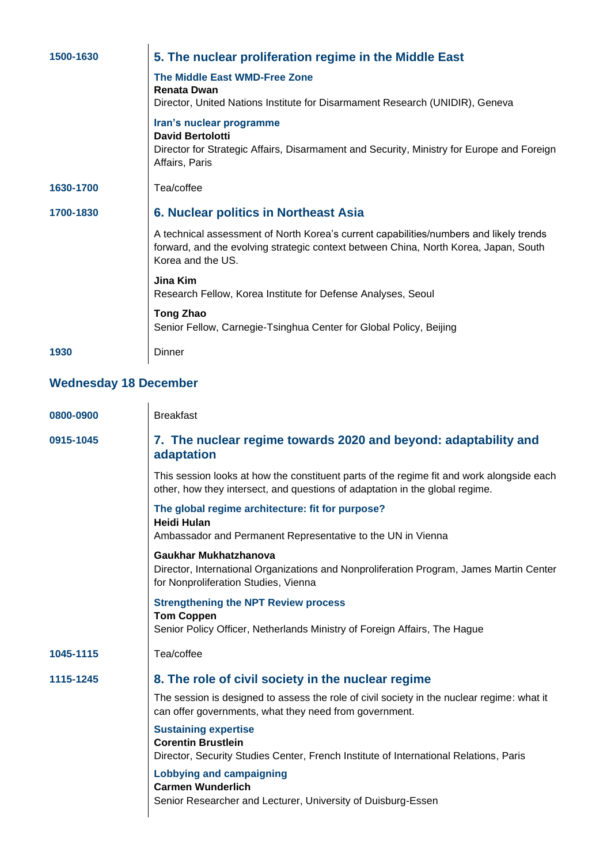| 1500-1630 | 5. The nuclear proliferation regime in the Middle East                                                                                                                                              |
|-----------|-----------------------------------------------------------------------------------------------------------------------------------------------------------------------------------------------------|
|           | <b>The Middle East WMD-Free Zone</b><br><b>Renata Dwan</b><br>Director, United Nations Institute for Disarmament Research (UNIDIR), Geneva                                                          |
|           | Iran's nuclear programme<br><b>David Bertolotti</b><br>Director for Strategic Affairs, Disarmament and Security, Ministry for Europe and Foreign<br>Affairs, Paris                                  |
| 1630-1700 | Tea/coffee                                                                                                                                                                                          |
| 1700-1830 | 6. Nuclear politics in Northeast Asia                                                                                                                                                               |
|           | A technical assessment of North Korea's current capabilities/numbers and likely trends<br>forward, and the evolving strategic context between China, North Korea, Japan, South<br>Korea and the US. |
|           | Jina Kim<br>Research Fellow, Korea Institute for Defense Analyses, Seoul                                                                                                                            |
|           | <b>Tong Zhao</b><br>Senior Fellow, Carnegie-Tsinghua Center for Global Policy, Beijing                                                                                                              |
| 1930      | Dinner                                                                                                                                                                                              |

### **Wednesday 18 December**

| 0800-0900 | <b>Breakfast</b>                                                                                                                                                          |
|-----------|---------------------------------------------------------------------------------------------------------------------------------------------------------------------------|
| 0915-1045 | 7. The nuclear regime towards 2020 and beyond: adaptability and<br>adaptation                                                                                             |
|           | This session looks at how the constituent parts of the regime fit and work alongside each<br>other, how they intersect, and questions of adaptation in the global regime. |
|           | The global regime architecture: fit for purpose?<br><b>Heidi Hulan</b>                                                                                                    |
|           | Ambassador and Permanent Representative to the UN in Vienna                                                                                                               |
|           | Gaukhar Mukhatzhanova<br>Director, International Organizations and Nonproliferation Program, James Martin Center<br>for Nonproliferation Studies, Vienna                  |
|           | <b>Strengthening the NPT Review process</b><br><b>Tom Coppen</b><br>Senior Policy Officer, Netherlands Ministry of Foreign Affairs, The Hague                             |
| 1045-1115 | Tea/coffee                                                                                                                                                                |
| 1115-1245 | 8. The role of civil society in the nuclear regime                                                                                                                        |
|           | The session is designed to assess the role of civil society in the nuclear regime: what it<br>can offer governments, what they need from government.                      |
|           | <b>Sustaining expertise</b><br><b>Corentin Brustlein</b><br>Director, Security Studies Center, French Institute of International Relations, Paris                         |
|           | <b>Lobbying and campaigning</b><br><b>Carmen Wunderlich</b><br>Senior Researcher and Lecturer, University of Duisburg-Essen                                               |
|           |                                                                                                                                                                           |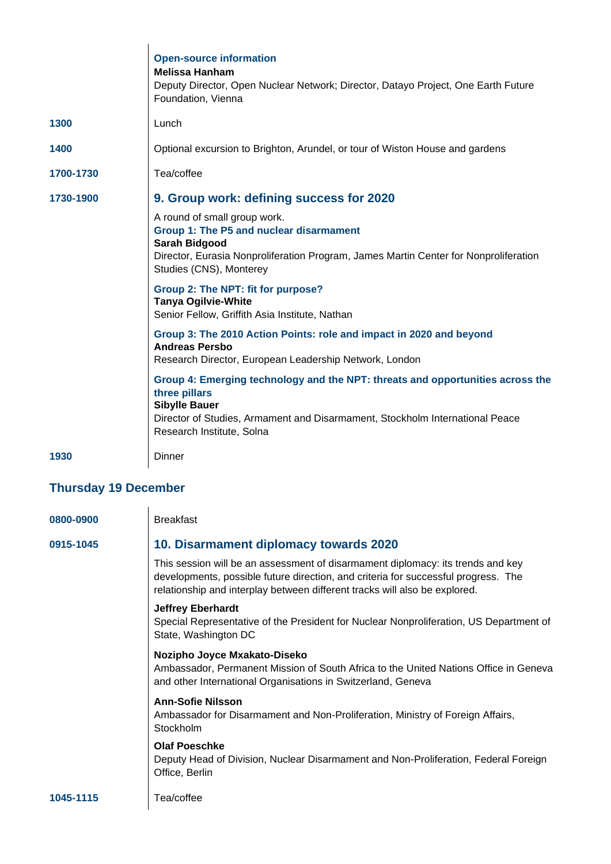| 1300<br>1400 | <b>Open-source information</b><br><b>Melissa Hanham</b><br>Deputy Director, Open Nuclear Network; Director, Datayo Project, One Earth Future<br>Foundation, Vienna<br>Lunch<br>Optional excursion to Brighton, Arundel, or tour of Wiston House and gardens                                                                                                                                                                                      |
|--------------|--------------------------------------------------------------------------------------------------------------------------------------------------------------------------------------------------------------------------------------------------------------------------------------------------------------------------------------------------------------------------------------------------------------------------------------------------|
| 1700-1730    | Tea/coffee                                                                                                                                                                                                                                                                                                                                                                                                                                       |
| 1730-1900    | 9. Group work: defining success for 2020<br>A round of small group work.<br>Group 1: The P5 and nuclear disarmament<br><b>Sarah Bidgood</b><br>Director, Eurasia Nonproliferation Program, James Martin Center for Nonproliferation<br>Studies (CNS), Monterey<br>Group 2: The NPT: fit for purpose?<br><b>Tanya Ogilvie-White</b>                                                                                                               |
|              | Senior Fellow, Griffith Asia Institute, Nathan<br>Group 3: The 2010 Action Points: role and impact in 2020 and beyond<br><b>Andreas Persbo</b><br>Research Director, European Leadership Network, London<br>Group 4: Emerging technology and the NPT: threats and opportunities across the<br>three pillars<br><b>Sibylle Bauer</b><br>Director of Studies, Armament and Disarmament, Stockholm International Peace<br>Research Institute, Solna |
| 1930         | Dinner                                                                                                                                                                                                                                                                                                                                                                                                                                           |

#### **Thursday 19 December**

| 0800-0900 | <b>Breakfast</b>                                                                                                                                                                                                                                    |
|-----------|-----------------------------------------------------------------------------------------------------------------------------------------------------------------------------------------------------------------------------------------------------|
| 0915-1045 | 10. Disarmament diplomacy towards 2020                                                                                                                                                                                                              |
|           | This session will be an assessment of disarmament diplomacy: its trends and key<br>developments, possible future direction, and criteria for successful progress. The<br>relationship and interplay between different tracks will also be explored. |
|           | <b>Jeffrey Eberhardt</b><br>Special Representative of the President for Nuclear Nonproliferation, US Department of<br>State, Washington DC                                                                                                          |
|           | Nozipho Joyce Mxakato-Diseko<br>Ambassador, Permanent Mission of South Africa to the United Nations Office in Geneva<br>and other International Organisations in Switzerland, Geneva                                                                |
|           | <b>Ann-Sofie Nilsson</b><br>Ambassador for Disarmament and Non-Proliferation, Ministry of Foreign Affairs,<br>Stockholm                                                                                                                             |
|           | <b>Olaf Poeschke</b><br>Deputy Head of Division, Nuclear Disarmament and Non-Proliferation, Federal Foreign<br>Office, Berlin                                                                                                                       |
| 1045-1115 | Tea/coffee                                                                                                                                                                                                                                          |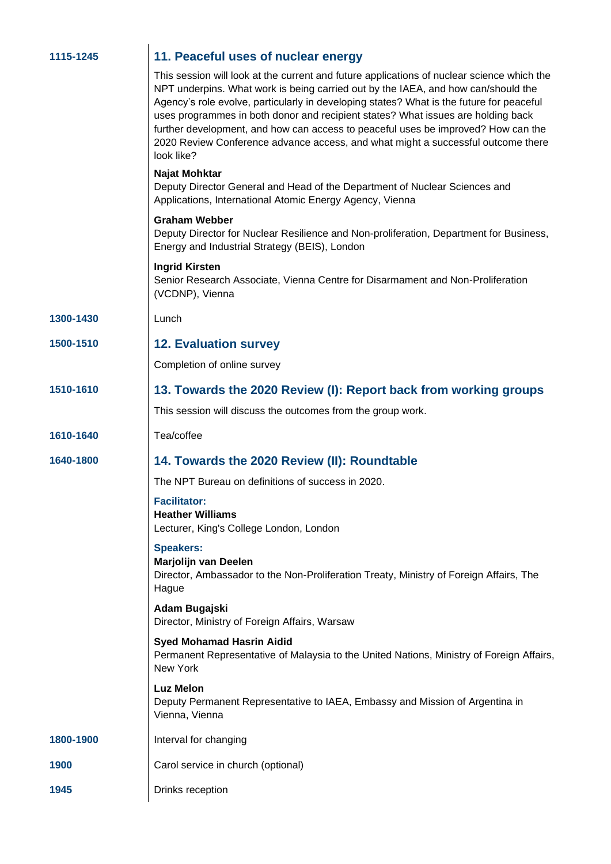| 1115-1245 | 11. Peaceful uses of nuclear energy                                                                                                                                                                                                                                                                                                                                                                                                                                                                                                                    |
|-----------|--------------------------------------------------------------------------------------------------------------------------------------------------------------------------------------------------------------------------------------------------------------------------------------------------------------------------------------------------------------------------------------------------------------------------------------------------------------------------------------------------------------------------------------------------------|
|           | This session will look at the current and future applications of nuclear science which the<br>NPT underpins. What work is being carried out by the IAEA, and how can/should the<br>Agency's role evolve, particularly in developing states? What is the future for peaceful<br>uses programmes in both donor and recipient states? What issues are holding back<br>further development, and how can access to peaceful uses be improved? How can the<br>2020 Review Conference advance access, and what might a successful outcome there<br>look like? |
|           | Najat Mohktar<br>Deputy Director General and Head of the Department of Nuclear Sciences and<br>Applications, International Atomic Energy Agency, Vienna                                                                                                                                                                                                                                                                                                                                                                                                |
|           | <b>Graham Webber</b><br>Deputy Director for Nuclear Resilience and Non-proliferation, Department for Business,<br>Energy and Industrial Strategy (BEIS), London                                                                                                                                                                                                                                                                                                                                                                                        |
|           | <b>Ingrid Kirsten</b><br>Senior Research Associate, Vienna Centre for Disarmament and Non-Proliferation<br>(VCDNP), Vienna                                                                                                                                                                                                                                                                                                                                                                                                                             |
| 1300-1430 | Lunch                                                                                                                                                                                                                                                                                                                                                                                                                                                                                                                                                  |
| 1500-1510 | <b>12. Evaluation survey</b>                                                                                                                                                                                                                                                                                                                                                                                                                                                                                                                           |
|           | Completion of online survey                                                                                                                                                                                                                                                                                                                                                                                                                                                                                                                            |
| 1510-1610 | 13. Towards the 2020 Review (I): Report back from working groups                                                                                                                                                                                                                                                                                                                                                                                                                                                                                       |
|           | This session will discuss the outcomes from the group work.                                                                                                                                                                                                                                                                                                                                                                                                                                                                                            |
|           |                                                                                                                                                                                                                                                                                                                                                                                                                                                                                                                                                        |
| 1610-1640 | Tea/coffee                                                                                                                                                                                                                                                                                                                                                                                                                                                                                                                                             |
| 1640-1800 | 14. Towards the 2020 Review (II): Roundtable                                                                                                                                                                                                                                                                                                                                                                                                                                                                                                           |
|           | The NPT Bureau on definitions of success in 2020.                                                                                                                                                                                                                                                                                                                                                                                                                                                                                                      |
|           | <b>Facilitator:</b><br><b>Heather Williams</b><br>Lecturer, King's College London, London                                                                                                                                                                                                                                                                                                                                                                                                                                                              |
|           | <b>Speakers:</b><br>Marjolijn van Deelen<br>Director, Ambassador to the Non-Proliferation Treaty, Ministry of Foreign Affairs, The<br>Hague                                                                                                                                                                                                                                                                                                                                                                                                            |
|           | Adam Bugajski<br>Director, Ministry of Foreign Affairs, Warsaw                                                                                                                                                                                                                                                                                                                                                                                                                                                                                         |
|           | <b>Syed Mohamad Hasrin Aidid</b><br>Permanent Representative of Malaysia to the United Nations, Ministry of Foreign Affairs,<br>New York                                                                                                                                                                                                                                                                                                                                                                                                               |
|           | <b>Luz Melon</b><br>Deputy Permanent Representative to IAEA, Embassy and Mission of Argentina in<br>Vienna, Vienna                                                                                                                                                                                                                                                                                                                                                                                                                                     |
| 1800-1900 | Interval for changing                                                                                                                                                                                                                                                                                                                                                                                                                                                                                                                                  |
| 1900      | Carol service in church (optional)                                                                                                                                                                                                                                                                                                                                                                                                                                                                                                                     |